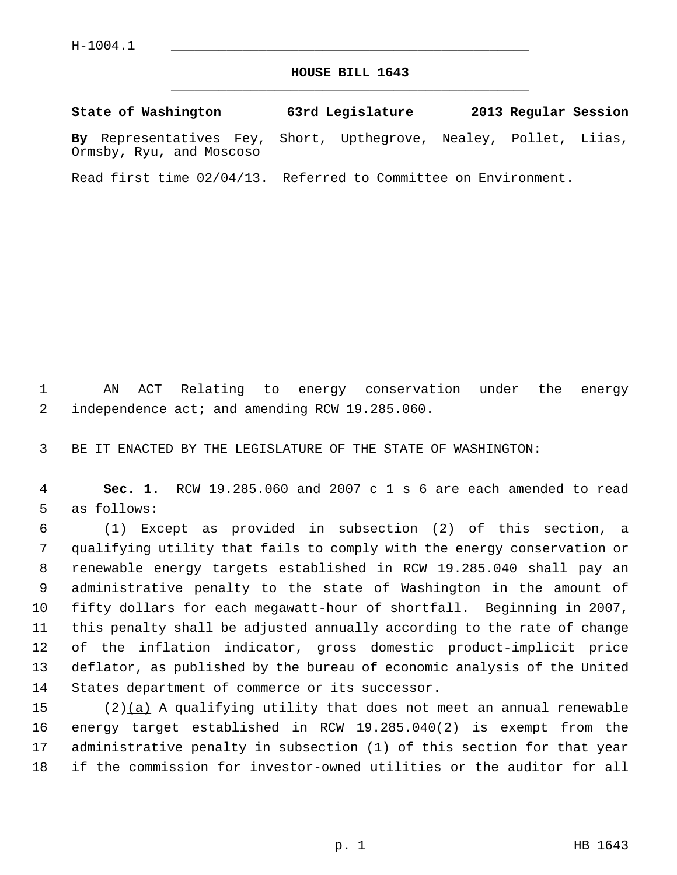Ormsby, Ryu, and Moscoso

## **HOUSE BILL 1643** \_\_\_\_\_\_\_\_\_\_\_\_\_\_\_\_\_\_\_\_\_\_\_\_\_\_\_\_\_\_\_\_\_\_\_\_\_\_\_\_\_\_\_\_\_

**State of Washington 63rd Legislature 2013 Regular Session By** Representatives Fey, Short, Upthegrove, Nealey, Pollet, Liias,

Read first time 02/04/13. Referred to Committee on Environment.

 1 AN ACT Relating to energy conservation under the energy 2 independence act; and amending RCW 19.285.060.

3 BE IT ENACTED BY THE LEGISLATURE OF THE STATE OF WASHINGTON:

 4 **Sec. 1.** RCW 19.285.060 and 2007 c 1 s 6 are each amended to read 5 as follows:

 6 (1) Except as provided in subsection (2) of this section, a 7 qualifying utility that fails to comply with the energy conservation or 8 renewable energy targets established in RCW 19.285.040 shall pay an 9 administrative penalty to the state of Washington in the amount of 10 fifty dollars for each megawatt-hour of shortfall. Beginning in 2007, 11 this penalty shall be adjusted annually according to the rate of change 12 of the inflation indicator, gross domestic product-implicit price 13 deflator, as published by the bureau of economic analysis of the United 14 States department of commerce or its successor.

15 (2)(a) A qualifying utility that does not meet an annual renewable 16 energy target established in RCW 19.285.040(2) is exempt from the 17 administrative penalty in subsection (1) of this section for that year 18 if the commission for investor-owned utilities or the auditor for all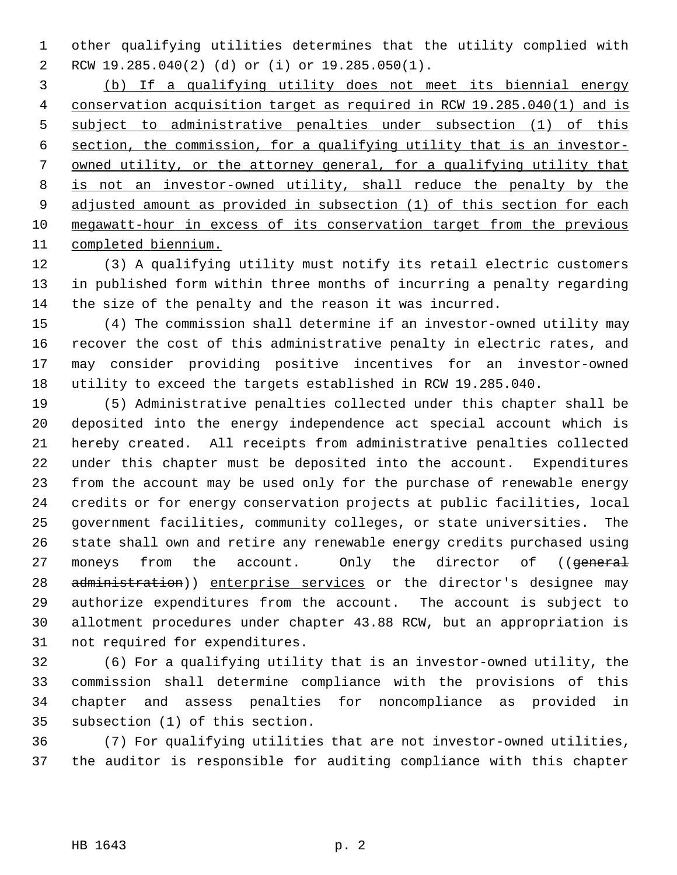1 other qualifying utilities determines that the utility complied with 2 RCW 19.285.040(2) (d) or (i) or 19.285.050(1).

 (b) If a qualifying utility does not meet its biennial energy conservation acquisition target as required in RCW 19.285.040(1) and is subject to administrative penalties under subsection (1) of this section, the commission, for a qualifying utility that is an investor- owned utility, or the attorney general, for a qualifying utility that is not an investor-owned utility, shall reduce the penalty by the adjusted amount as provided in subsection (1) of this section for each megawatt-hour in excess of its conservation target from the previous completed biennium.

12 (3) A qualifying utility must notify its retail electric customers 13 in published form within three months of incurring a penalty regarding 14 the size of the penalty and the reason it was incurred.

15 (4) The commission shall determine if an investor-owned utility may 16 recover the cost of this administrative penalty in electric rates, and 17 may consider providing positive incentives for an investor-owned 18 utility to exceed the targets established in RCW 19.285.040.

19 (5) Administrative penalties collected under this chapter shall be 20 deposited into the energy independence act special account which is 21 hereby created. All receipts from administrative penalties collected 22 under this chapter must be deposited into the account. Expenditures 23 from the account may be used only for the purchase of renewable energy 24 credits or for energy conservation projects at public facilities, local 25 government facilities, community colleges, or state universities. The 26 state shall own and retire any renewable energy credits purchased using 27 moneys from the account. Only the director of ((general 28 administration)) enterprise services or the director's designee may 29 authorize expenditures from the account. The account is subject to 30 allotment procedures under chapter 43.88 RCW, but an appropriation is 31 not required for expenditures.

32 (6) For a qualifying utility that is an investor-owned utility, the 33 commission shall determine compliance with the provisions of this 34 chapter and assess penalties for noncompliance as provided in 35 subsection (1) of this section.

36 (7) For qualifying utilities that are not investor-owned utilities, 37 the auditor is responsible for auditing compliance with this chapter